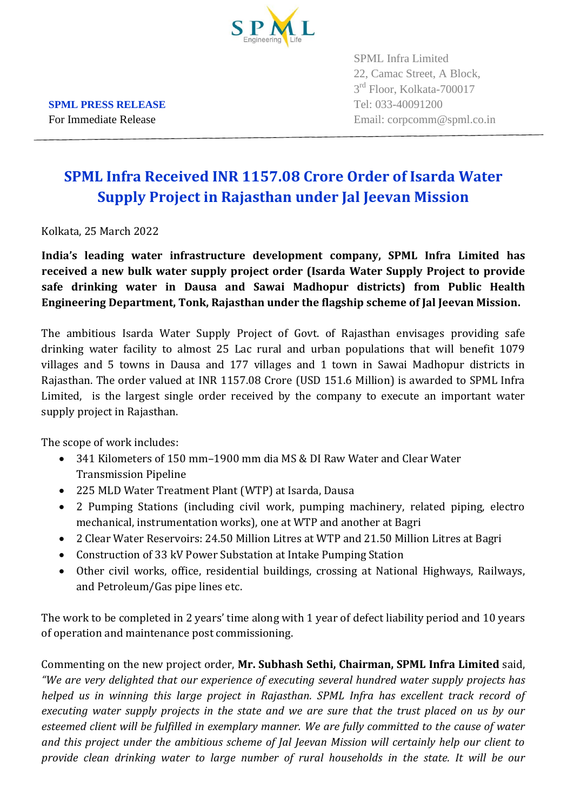

SPML Infra Limited 22, Camac Street, A Block, 3<sup>rd</sup> Floor, Kolkata-700017 For Immediate Release Email: corpcomm@spml.co.in

## **SPML Infra Received INR 1157.08 Crore Order of Isarda Water Supply Project in Rajasthan under Jal Jeevan Mission**

Kolkata, 25 March 2022

**India's leading water infrastructure development company, SPML Infra Limited has received a new bulk water supply project order (Isarda Water Supply Project to provide safe drinking water in Dausa and Sawai Madhopur districts) from Public Health Engineering Department, Tonk, Rajasthan under the flagship scheme of Jal Jeevan Mission.**

The ambitious Isarda Water Supply Project of Govt. of Rajasthan envisages providing safe drinking water facility to almost 25 Lac rural and urban populations that will benefit 1079 villages and 5 towns in Dausa and 177 villages and 1 town in Sawai Madhopur districts in Rajasthan. The order valued at INR 1157.08 Crore (USD 151.6 Million) is awarded to SPML Infra Limited, is the largest single order received by the company to execute an important water supply project in Rajasthan.

The scope of work includes:

- 341 Kilometers of 150 mm–1900 mm dia MS & DI Raw Water and Clear Water Transmission Pipeline
- 225 MLD Water Treatment Plant (WTP) at Isarda, Dausa
- 2 Pumping Stations (including civil work, pumping machinery, related piping, electro mechanical, instrumentation works), one at WTP and another at Bagri
- 2 Clear Water Reservoirs: 24.50 Million Litres at WTP and 21.50 Million Litres at Bagri
- Construction of 33 kV Power Substation at Intake Pumping Station
- Other civil works, office, residential buildings, crossing at National Highways, Railways, and Petroleum/Gas pipe lines etc.

The work to be completed in 2 years' time along with 1 year of defect liability period and 10 years of operation and maintenance post commissioning.

Commenting on the new project order, **Mr. Subhash Sethi, Chairman, SPML Infra Limited** said, *"We are very delighted that our experience of executing several hundred water supply projects has helped us in winning this large project in Rajasthan. SPML Infra has excellent track record of executing water supply projects in the state and we are sure that the trust placed on us by our esteemed client will be fulfilled in exemplary manner. We are fully committed to the cause of water and this project under the ambitious scheme of Jal Jeevan Mission will certainly help our client to provide clean drinking water to large number of rural households in the state. It will be our* 

**SPML PRESS RELEASE** Tel: 033-40091200